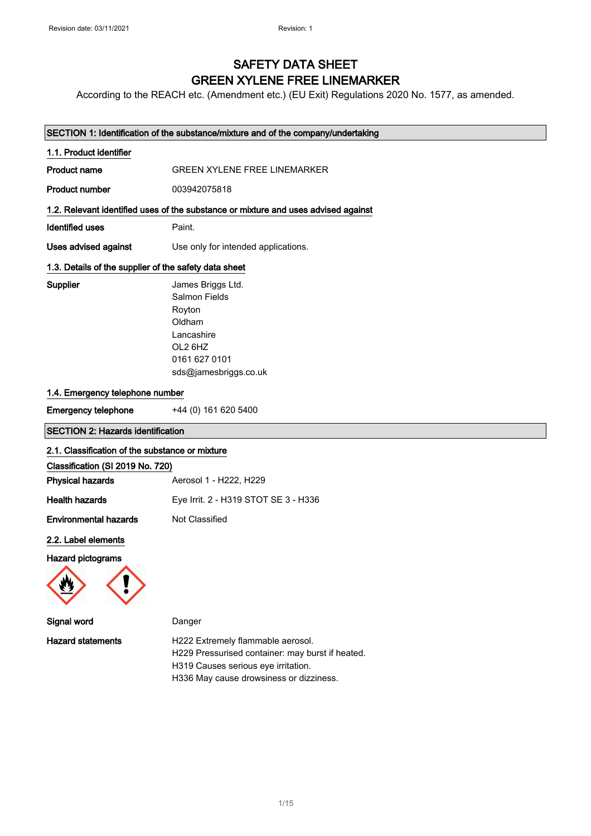## SAFETY DATA SHEET GREEN XYLENE FREE LINEMARKER

According to the REACH etc. (Amendment etc.) (EU Exit) Regulations 2020 No. 1577, as amended.

|                                                       | SECTION 1: Identification of the substance/mixture and of the company/undertaking                                         |
|-------------------------------------------------------|---------------------------------------------------------------------------------------------------------------------------|
| 1.1. Product identifier                               |                                                                                                                           |
| <b>Product name</b>                                   | <b>GREEN XYLENE FREE LINEMARKER</b>                                                                                       |
| <b>Product number</b>                                 | 003942075818                                                                                                              |
|                                                       | 1.2. Relevant identified uses of the substance or mixture and uses advised against                                        |
| <b>Identified uses</b>                                | Paint.                                                                                                                    |
| Uses advised against                                  | Use only for intended applications.                                                                                       |
| 1.3. Details of the supplier of the safety data sheet |                                                                                                                           |
| Supplier                                              | James Briggs Ltd.<br>Salmon Fields<br>Royton<br>Oldham<br>Lancashire<br>OL2 6HZ<br>0161 627 0101<br>sds@jamesbriggs.co.uk |
| 1.4. Emergency telephone number                       |                                                                                                                           |
| <b>Emergency telephone</b>                            | +44 (0) 161 620 5400                                                                                                      |
| <b>SECTION 2: Hazards identification</b>              |                                                                                                                           |
| 2.1. Classification of the substance or mixture       |                                                                                                                           |
| Classification (SI 2019 No. 720)                      |                                                                                                                           |
| <b>Physical hazards</b>                               | Aerosol 1 - H222, H229                                                                                                    |
| <b>Health hazards</b>                                 | Eye Irrit. 2 - H319 STOT SE 3 - H336                                                                                      |
| <b>Environmental hazards</b>                          | Not Classified                                                                                                            |
| 2.2. Label elements                                   |                                                                                                                           |
| <b>Hazard pictograms</b>                              |                                                                                                                           |
| Signal word                                           | Danger                                                                                                                    |
| <b>Hazard statements</b>                              | H222 Extremely flammable aerosol.<br>H229 Pressurised container: may burst if heated.                                     |

H319 Causes serious eye irritation.

H336 May cause drowsiness or dizziness.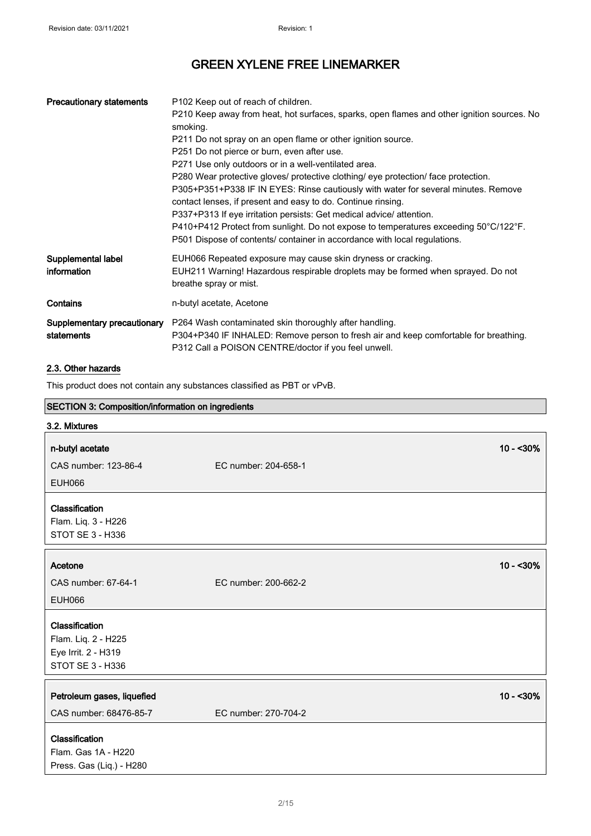| <b>Precautionary statements</b>           | P <sub>102</sub> Keep out of reach of children.<br>P210 Keep away from heat, hot surfaces, sparks, open flames and other ignition sources. No<br>smoking.<br>P211 Do not spray on an open flame or other ignition source.<br>P251 Do not pierce or burn, even after use.<br>P271 Use only outdoors or in a well-ventilated area.<br>P280 Wear protective gloves/ protective clothing/ eye protection/ face protection.<br>P305+P351+P338 IF IN EYES: Rinse cautiously with water for several minutes. Remove<br>contact lenses, if present and easy to do. Continue rinsing.<br>P337+P313 If eye irritation persists: Get medical advice/ attention.<br>P410+P412 Protect from sunlight. Do not expose to temperatures exceeding 50°C/122°F.<br>P501 Dispose of contents/ container in accordance with local regulations. |
|-------------------------------------------|---------------------------------------------------------------------------------------------------------------------------------------------------------------------------------------------------------------------------------------------------------------------------------------------------------------------------------------------------------------------------------------------------------------------------------------------------------------------------------------------------------------------------------------------------------------------------------------------------------------------------------------------------------------------------------------------------------------------------------------------------------------------------------------------------------------------------|
| Supplemental label<br>information         | EUH066 Repeated exposure may cause skin dryness or cracking.<br>EUH211 Warning! Hazardous respirable droplets may be formed when sprayed. Do not<br>breathe spray or mist.                                                                                                                                                                                                                                                                                                                                                                                                                                                                                                                                                                                                                                                |
| Contains                                  | n-butyl acetate, Acetone                                                                                                                                                                                                                                                                                                                                                                                                                                                                                                                                                                                                                                                                                                                                                                                                  |
| Supplementary precautionary<br>statements | P264 Wash contaminated skin thoroughly after handling.<br>P304+P340 IF INHALED: Remove person to fresh air and keep comfortable for breathing.<br>P312 Call a POISON CENTRE/doctor if you feel unwell.                                                                                                                                                                                                                                                                                                                                                                                                                                                                                                                                                                                                                    |

### 2.3. Other hazards

This product does not contain any substances classified as PBT or vPvB.

| SECTION 3: Composition/information on ingredients |                      |             |
|---------------------------------------------------|----------------------|-------------|
| 3.2. Mixtures                                     |                      |             |
| n-butyl acetate                                   |                      | $10 - 30%$  |
| CAS number: 123-86-4                              | EC number: 204-658-1 |             |
| <b>EUH066</b>                                     |                      |             |
|                                                   |                      |             |
| Classification                                    |                      |             |
| Flam. Liq. 3 - H226                               |                      |             |
| STOT SE 3 - H336                                  |                      |             |
|                                                   |                      |             |
| Acetone                                           |                      | $10 - 30\%$ |
| CAS number: 67-64-1                               | EC number: 200-662-2 |             |
| <b>EUH066</b>                                     |                      |             |
| Classification                                    |                      |             |
| Flam. Liq. 2 - H225                               |                      |             |
| Eye Irrit. 2 - H319                               |                      |             |
| STOT SE 3 - H336                                  |                      |             |
|                                                   |                      |             |
| Petroleum gases, liquefied                        |                      | $10 - 30%$  |
| CAS number: 68476-85-7                            | EC number: 270-704-2 |             |
| Classification                                    |                      |             |
| Flam. Gas 1A - H220                               |                      |             |
| Press. Gas (Liq.) - H280                          |                      |             |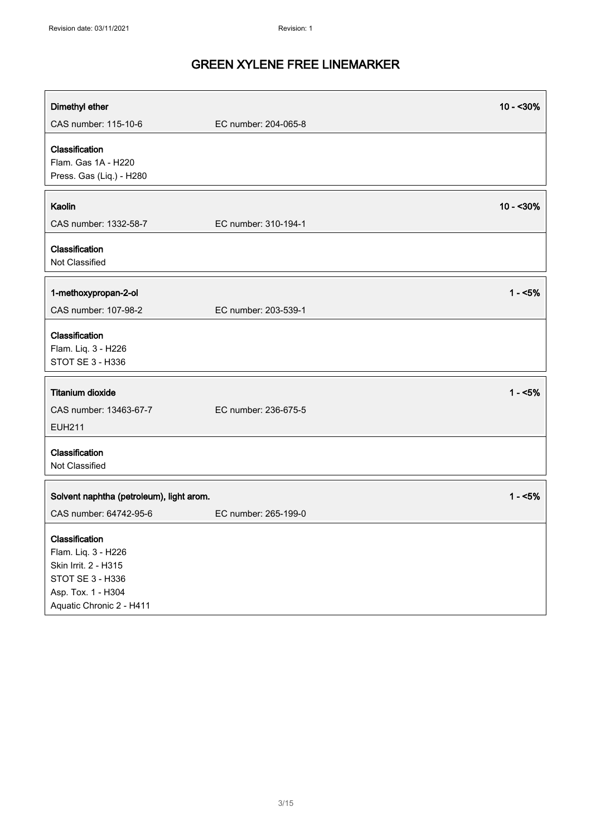| Dimethyl ether                                                                                                                      |                      | $10 - 30%$ |
|-------------------------------------------------------------------------------------------------------------------------------------|----------------------|------------|
| CAS number: 115-10-6                                                                                                                | EC number: 204-065-8 |            |
| Classification<br>Flam. Gas 1A - H220<br>Press. Gas (Liq.) - H280                                                                   |                      |            |
| Kaolin                                                                                                                              |                      | $10 - 30%$ |
| CAS number: 1332-58-7                                                                                                               | EC number: 310-194-1 |            |
| Classification<br>Not Classified                                                                                                    |                      |            |
| 1-methoxypropan-2-ol                                                                                                                |                      | $1 - 5%$   |
| CAS number: 107-98-2                                                                                                                | EC number: 203-539-1 |            |
| Classification<br>Flam. Liq. 3 - H226<br>STOT SE 3 - H336                                                                           |                      |            |
| <b>Titanium dioxide</b>                                                                                                             |                      | $1 - 5%$   |
| CAS number: 13463-67-7<br><b>EUH211</b>                                                                                             | EC number: 236-675-5 |            |
| Classification<br>Not Classified                                                                                                    |                      |            |
| Solvent naphtha (petroleum), light arom.                                                                                            |                      | $1 - 5%$   |
| CAS number: 64742-95-6                                                                                                              | EC number: 265-199-0 |            |
| Classification<br>Flam. Liq. 3 - H226<br>Skin Irrit. 2 - H315<br>STOT SE 3 - H336<br>Asp. Tox. 1 - H304<br>Aquatic Chronic 2 - H411 |                      |            |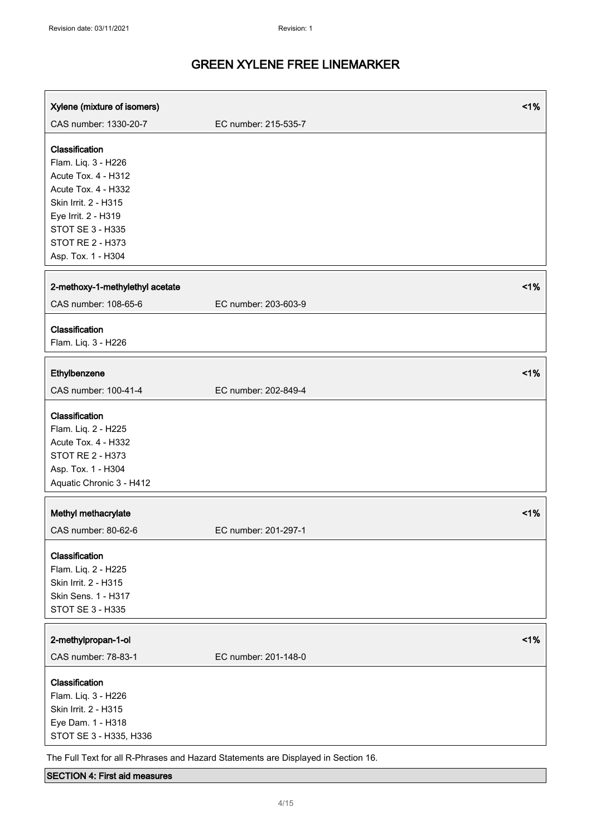| Xylene (mixture of isomers)                | 1%                                                                                 |
|--------------------------------------------|------------------------------------------------------------------------------------|
| CAS number: 1330-20-7                      | EC number: 215-535-7                                                               |
|                                            |                                                                                    |
| Classification                             |                                                                                    |
| Flam. Liq. 3 - H226                        |                                                                                    |
| Acute Tox. 4 - H312                        |                                                                                    |
| Acute Tox. 4 - H332                        |                                                                                    |
| Skin Irrit. 2 - H315                       |                                                                                    |
| Eye Irrit. 2 - H319                        |                                                                                    |
| STOT SE 3 - H335<br>STOT RE 2 - H373       |                                                                                    |
| Asp. Tox. 1 - H304                         |                                                                                    |
|                                            |                                                                                    |
| 2-methoxy-1-methylethyl acetate            | $<$ 1%                                                                             |
| CAS number: 108-65-6                       | EC number: 203-603-9                                                               |
|                                            |                                                                                    |
| Classification                             |                                                                                    |
| Flam. Liq. 3 - H226                        |                                                                                    |
|                                            |                                                                                    |
| Ethylbenzene                               | 1%                                                                                 |
| CAS number: 100-41-4                       | EC number: 202-849-4                                                               |
| Classification                             |                                                                                    |
|                                            |                                                                                    |
| Flam. Liq. 2 - H225<br>Acute Tox. 4 - H332 |                                                                                    |
| STOT RE 2 - H373                           |                                                                                    |
| Asp. Tox. 1 - H304                         |                                                                                    |
| Aquatic Chronic 3 - H412                   |                                                                                    |
|                                            |                                                                                    |
| Methyl methacrylate                        | 1%                                                                                 |
| CAS number: 80-62-6                        | EC number: 201-297-1                                                               |
|                                            |                                                                                    |
| Classification                             |                                                                                    |
| Flam. Liq. 2 - H225                        |                                                                                    |
| Skin Irrit. 2 - H315                       |                                                                                    |
| Skin Sens. 1 - H317                        |                                                                                    |
| STOT SE 3 - H335                           |                                                                                    |
| 2-methylpropan-1-ol                        | 1%                                                                                 |
|                                            |                                                                                    |
| CAS number: 78-83-1                        | EC number: 201-148-0                                                               |
| Classification                             |                                                                                    |
| Flam. Liq. 3 - H226                        |                                                                                    |
| Skin Irrit. 2 - H315                       |                                                                                    |
| Eye Dam. 1 - H318                          |                                                                                    |
| STOT SE 3 - H335, H336                     |                                                                                    |
|                                            | The Full Text for all R-Phrases and Hazard Statements are Displayed in Section 16. |

### SECTION 4: First aid measures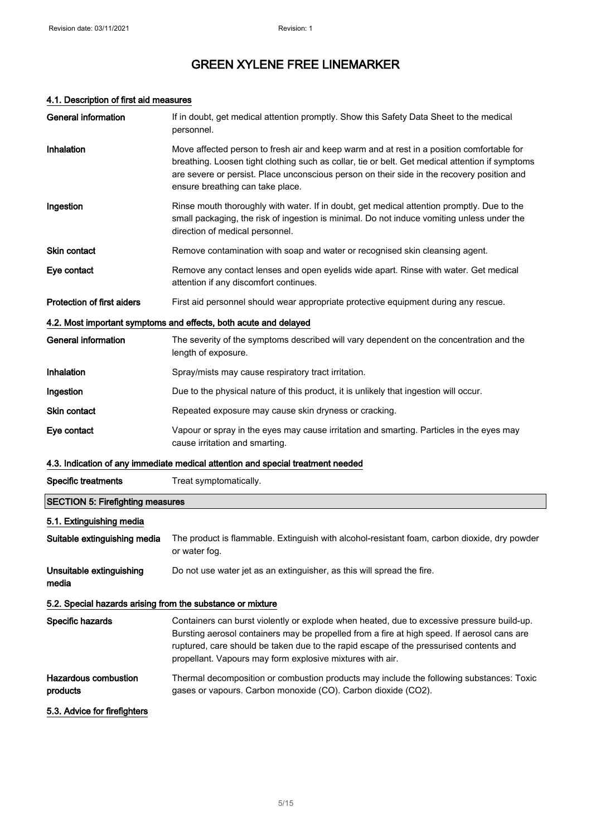### 4.1. Description of first aid measures

| General information                                        | If in doubt, get medical attention promptly. Show this Safety Data Sheet to the medical<br>personnel.                                                                                                                                                                                                                                            |
|------------------------------------------------------------|--------------------------------------------------------------------------------------------------------------------------------------------------------------------------------------------------------------------------------------------------------------------------------------------------------------------------------------------------|
| Inhalation                                                 | Move affected person to fresh air and keep warm and at rest in a position comfortable for<br>breathing. Loosen tight clothing such as collar, tie or belt. Get medical attention if symptoms<br>are severe or persist. Place unconscious person on their side in the recovery position and<br>ensure breathing can take place.                   |
| Ingestion                                                  | Rinse mouth thoroughly with water. If in doubt, get medical attention promptly. Due to the<br>small packaging, the risk of ingestion is minimal. Do not induce vomiting unless under the<br>direction of medical personnel.                                                                                                                      |
| Skin contact                                               | Remove contamination with soap and water or recognised skin cleansing agent.                                                                                                                                                                                                                                                                     |
| Eye contact                                                | Remove any contact lenses and open eyelids wide apart. Rinse with water. Get medical<br>attention if any discomfort continues.                                                                                                                                                                                                                   |
| <b>Protection of first aiders</b>                          | First aid personnel should wear appropriate protective equipment during any rescue.                                                                                                                                                                                                                                                              |
|                                                            | 4.2. Most important symptoms and effects, both acute and delayed                                                                                                                                                                                                                                                                                 |
| <b>General information</b>                                 | The severity of the symptoms described will vary dependent on the concentration and the<br>length of exposure.                                                                                                                                                                                                                                   |
| Inhalation                                                 | Spray/mists may cause respiratory tract irritation.                                                                                                                                                                                                                                                                                              |
| Ingestion                                                  | Due to the physical nature of this product, it is unlikely that ingestion will occur.                                                                                                                                                                                                                                                            |
| Skin contact                                               | Repeated exposure may cause skin dryness or cracking.                                                                                                                                                                                                                                                                                            |
| Eye contact                                                | Vapour or spray in the eyes may cause irritation and smarting. Particles in the eyes may<br>cause irritation and smarting.                                                                                                                                                                                                                       |
|                                                            | 4.3. Indication of any immediate medical attention and special treatment needed                                                                                                                                                                                                                                                                  |
| <b>Specific treatments</b>                                 | Treat symptomatically.                                                                                                                                                                                                                                                                                                                           |
| <b>SECTION 5: Firefighting measures</b>                    |                                                                                                                                                                                                                                                                                                                                                  |
| 5.1. Extinguishing media                                   |                                                                                                                                                                                                                                                                                                                                                  |
| Suitable extinguishing media                               | The product is flammable. Extinguish with alcohol-resistant foam, carbon dioxide, dry powder<br>or water fog.                                                                                                                                                                                                                                    |
| Unsuitable extinguishing<br>media                          | Do not use water jet as an extinguisher, as this will spread the fire.                                                                                                                                                                                                                                                                           |
| 5.2. Special hazards arising from the substance or mixture |                                                                                                                                                                                                                                                                                                                                                  |
| Specific hazards                                           | Containers can burst violently or explode when heated, due to excessive pressure build-up.<br>Bursting aerosol containers may be propelled from a fire at high speed. If aerosol cans are<br>ruptured, care should be taken due to the rapid escape of the pressurised contents and<br>propellant. Vapours may form explosive mixtures with air. |
| <b>Hazardous combustion</b><br>products                    | Thermal decomposition or combustion products may include the following substances: Toxic<br>gases or vapours. Carbon monoxide (CO). Carbon dioxide (CO2).                                                                                                                                                                                        |
| 5.3. Advice for firefighters                               |                                                                                                                                                                                                                                                                                                                                                  |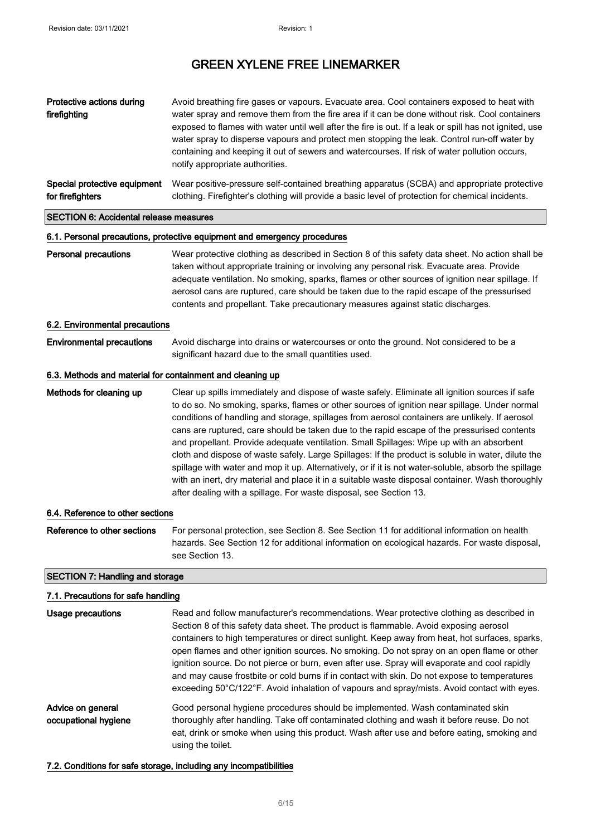| Protective actions during<br>firefighting                                                                      | Avoid breathing fire gases or vapours. Evacuate area. Cool containers exposed to heat with<br>water spray and remove them from the fire area if it can be done without risk. Cool containers<br>exposed to flames with water until well after the fire is out. If a leak or spill has not ignited, use<br>water spray to disperse vapours and protect men stopping the leak. Control run-off water by<br>containing and keeping it out of sewers and watercourses. If risk of water pollution occurs,<br>notify appropriate authorities. |  |
|----------------------------------------------------------------------------------------------------------------|------------------------------------------------------------------------------------------------------------------------------------------------------------------------------------------------------------------------------------------------------------------------------------------------------------------------------------------------------------------------------------------------------------------------------------------------------------------------------------------------------------------------------------------|--|
| Special protective equipment<br>for firefighters                                                               | Wear positive-pressure self-contained breathing apparatus (SCBA) and appropriate protective<br>clothing. Firefighter's clothing will provide a basic level of protection for chemical incidents.                                                                                                                                                                                                                                                                                                                                         |  |
| <b>SECTION 6: Accidental release measures</b>                                                                  |                                                                                                                                                                                                                                                                                                                                                                                                                                                                                                                                          |  |
| A 4 Benedictural contract controlled a contract of the discovered and substitute of the control of the control |                                                                                                                                                                                                                                                                                                                                                                                                                                                                                                                                          |  |

#### 6.1. Personal precautions, protective equipment and emergency procedures

### Personal precautions Wear protective clothing as described in Section 8 of this safety data sheet. No action shall be taken without appropriate training or involving any personal risk. Evacuate area. Provide adequate ventilation. No smoking, sparks, flames or other sources of ignition near spillage. If aerosol cans are ruptured, care should be taken due to the rapid escape of the pressurised contents and propellant. Take precautionary measures against static discharges.

#### 6.2. Environmental precautions

Environmental precautions Avoid discharge into drains or watercourses or onto the ground. Not considered to be a significant hazard due to the small quantities used.

#### 6.3. Methods and material for containment and cleaning up

Methods for cleaning up Clear up spills immediately and dispose of waste safely. Eliminate all ignition sources if safe to do so. No smoking, sparks, flames or other sources of ignition near spillage. Under normal conditions of handling and storage, spillages from aerosol containers are unlikely. If aerosol cans are ruptured, care should be taken due to the rapid escape of the pressurised contents and propellant. Provide adequate ventilation. Small Spillages: Wipe up with an absorbent cloth and dispose of waste safely. Large Spillages: If the product is soluble in water, dilute the spillage with water and mop it up. Alternatively, or if it is not water-soluble, absorb the spillage with an inert, dry material and place it in a suitable waste disposal container. Wash thoroughly after dealing with a spillage. For waste disposal, see Section 13.

#### 6.4. Reference to other sections

Reference to other sections For personal protection, see Section 8. See Section 11 for additional information on health hazards. See Section 12 for additional information on ecological hazards. For waste disposal, see Section 13.

#### SECTION 7: Handling and storage

#### 7.1. Precautions for safe handling

| Usage precautions                         | Read and follow manufacturer's recommendations. Wear protective clothing as described in<br>Section 8 of this safety data sheet. The product is flammable. Avoid exposing aerosol<br>containers to high temperatures or direct sunlight. Keep away from heat, hot surfaces, sparks,<br>open flames and other ignition sources. No smoking. Do not spray on an open flame or other<br>ignition source. Do not pierce or burn, even after use. Spray will evaporate and cool rapidly<br>and may cause frostbite or cold burns if in contact with skin. Do not expose to temperatures<br>exceeding 50°C/122°F. Avoid inhalation of vapours and spray/mists. Avoid contact with eyes. |
|-------------------------------------------|-----------------------------------------------------------------------------------------------------------------------------------------------------------------------------------------------------------------------------------------------------------------------------------------------------------------------------------------------------------------------------------------------------------------------------------------------------------------------------------------------------------------------------------------------------------------------------------------------------------------------------------------------------------------------------------|
| Advice on general<br>occupational hygiene | Good personal hygiene procedures should be implemented. Wash contaminated skin<br>thoroughly after handling. Take off contaminated clothing and wash it before reuse. Do not<br>eat, drink or smoke when using this product. Wash after use and before eating, smoking and<br>using the toilet.                                                                                                                                                                                                                                                                                                                                                                                   |

7.2. Conditions for safe storage, including any incompatibilities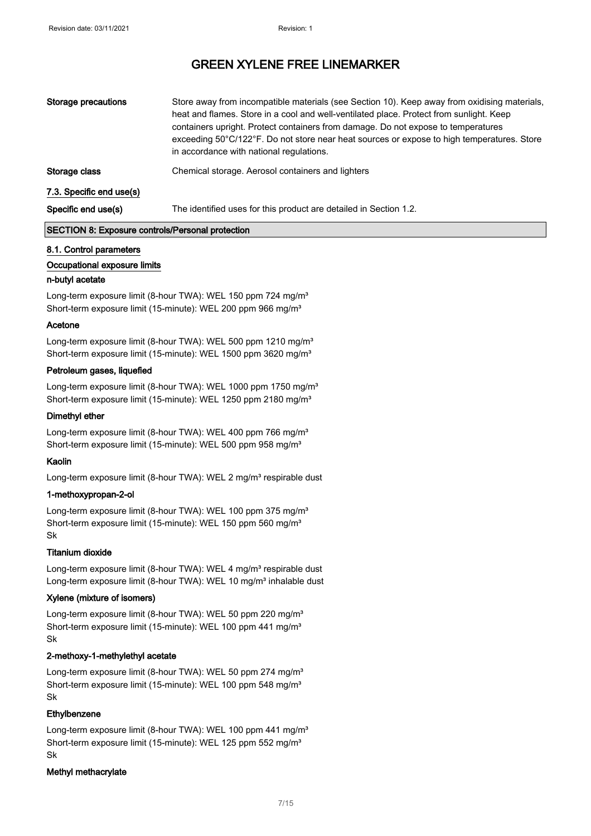| Storage precautions      | Store away from incompatible materials (see Section 10). Keep away from oxidising materials,<br>heat and flames. Store in a cool and well-ventilated place. Protect from sunlight. Keep<br>containers upright. Protect containers from damage. Do not expose to temperatures<br>exceeding 50°C/122°F. Do not store near heat sources or expose to high temperatures. Store<br>in accordance with national regulations. |
|--------------------------|------------------------------------------------------------------------------------------------------------------------------------------------------------------------------------------------------------------------------------------------------------------------------------------------------------------------------------------------------------------------------------------------------------------------|
| Storage class            | Chemical storage. Aerosol containers and lighters                                                                                                                                                                                                                                                                                                                                                                      |
| 7.3. Specific end use(s) |                                                                                                                                                                                                                                                                                                                                                                                                                        |
| Specific end use(s)      | The identified uses for this product are detailed in Section 1.2.                                                                                                                                                                                                                                                                                                                                                      |

#### SECTION 8: Exposure controls/Personal protection

#### 8.1. Control parameters

#### Occupational exposure limits

#### n-butyl acetate

Long-term exposure limit (8-hour TWA): WEL 150 ppm 724 mg/m<sup>3</sup> Short-term exposure limit (15-minute): WEL 200 ppm 966 mg/m<sup>3</sup>

#### Acetone

Long-term exposure limit (8-hour TWA): WEL 500 ppm 1210 mg/m<sup>3</sup> Short-term exposure limit (15-minute): WEL 1500 ppm 3620 mg/m<sup>3</sup>

#### Petroleum gases, liquefied

Long-term exposure limit (8-hour TWA): WEL 1000 ppm 1750 mg/m<sup>3</sup> Short-term exposure limit (15-minute): WEL 1250 ppm 2180 mg/m<sup>3</sup>

#### Dimethyl ether

Long-term exposure limit (8-hour TWA): WEL 400 ppm 766 mg/m<sup>3</sup> Short-term exposure limit (15-minute): WEL 500 ppm 958 mg/m<sup>3</sup>

#### Kaolin

Long-term exposure limit (8-hour TWA): WEL 2 mg/m<sup>3</sup> respirable dust

#### 1-methoxypropan-2-ol

Long-term exposure limit (8-hour TWA): WEL 100 ppm 375 mg/m<sup>3</sup> Short-term exposure limit (15-minute): WEL 150 ppm 560 mg/m<sup>3</sup> Sk

#### Titanium dioxide

Long-term exposure limit (8-hour TWA): WEL 4 mg/m<sup>3</sup> respirable dust Long-term exposure limit (8-hour TWA): WEL 10 mg/m<sup>3</sup> inhalable dust

#### Xylene (mixture of isomers)

Long-term exposure limit (8-hour TWA): WEL 50 ppm 220 mg/m<sup>3</sup> Short-term exposure limit (15-minute): WEL 100 ppm 441 mg/m<sup>3</sup> Sk

#### 2-methoxy-1-methylethyl acetate

Long-term exposure limit (8-hour TWA): WEL 50 ppm 274 mg/m<sup>3</sup> Short-term exposure limit (15-minute): WEL 100 ppm 548 mg/m<sup>3</sup> Sk

#### Ethylbenzene

Long-term exposure limit (8-hour TWA): WEL 100 ppm 441 mg/m<sup>3</sup> Short-term exposure limit (15-minute): WEL 125 ppm 552 mg/m<sup>3</sup> Sk

#### Methyl methacrylate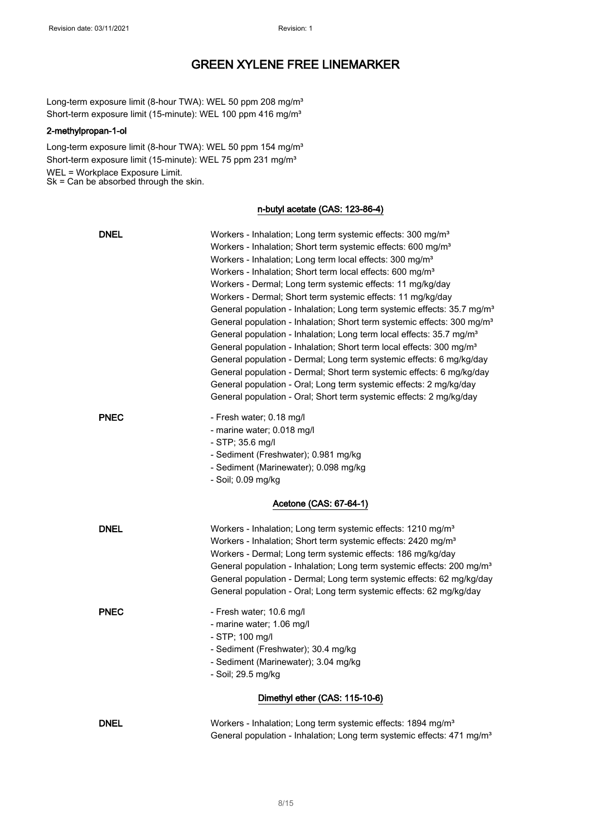Long-term exposure limit (8-hour TWA): WEL 50 ppm 208 mg/m<sup>3</sup> Short-term exposure limit (15-minute): WEL 100 ppm 416 mg/m<sup>3</sup>

#### 2-methylpropan-1-ol

Long-term exposure limit (8-hour TWA): WEL 50 ppm 154 mg/m<sup>3</sup> Short-term exposure limit (15-minute): WEL 75 ppm 231 mg/m<sup>3</sup> WEL = Workplace Exposure Limit. Sk = Can be absorbed through the skin.

#### n-butyl acetate (CAS: 123-86-4)

| <b>DNEL</b> | Workers - Inhalation; Long term systemic effects: 300 mg/m <sup>3</sup><br>Workers - Inhalation; Short term systemic effects: 600 mg/m <sup>3</sup><br>Workers - Inhalation; Long term local effects: 300 mg/m <sup>3</sup><br>Workers - Inhalation; Short term local effects: 600 mg/m <sup>3</sup><br>Workers - Dermal; Long term systemic effects: 11 mg/kg/day<br>Workers - Dermal; Short term systemic effects: 11 mg/kg/day<br>General population - Inhalation; Long term systemic effects: 35.7 mg/m <sup>3</sup><br>General population - Inhalation; Short term systemic effects: 300 mg/m <sup>3</sup><br>General population - Inhalation; Long term local effects: 35.7 mg/m <sup>3</sup><br>General population - Inhalation; Short term local effects: 300 mg/m <sup>3</sup><br>General population - Dermal; Long term systemic effects: 6 mg/kg/day<br>General population - Dermal; Short term systemic effects: 6 mg/kg/day<br>General population - Oral; Long term systemic effects: 2 mg/kg/day<br>General population - Oral; Short term systemic effects: 2 mg/kg/day |
|-------------|---------------------------------------------------------------------------------------------------------------------------------------------------------------------------------------------------------------------------------------------------------------------------------------------------------------------------------------------------------------------------------------------------------------------------------------------------------------------------------------------------------------------------------------------------------------------------------------------------------------------------------------------------------------------------------------------------------------------------------------------------------------------------------------------------------------------------------------------------------------------------------------------------------------------------------------------------------------------------------------------------------------------------------------------------------------------------------------|
| <b>PNEC</b> | - Fresh water; 0.18 mg/l<br>- marine water; 0.018 mg/l<br>- STP; 35.6 mg/l<br>- Sediment (Freshwater); 0.981 mg/kg<br>- Sediment (Marinewater); 0.098 mg/kg<br>- Soil; 0.09 mg/kg                                                                                                                                                                                                                                                                                                                                                                                                                                                                                                                                                                                                                                                                                                                                                                                                                                                                                                     |
|             | Acetone (CAS: 67-64-1)                                                                                                                                                                                                                                                                                                                                                                                                                                                                                                                                                                                                                                                                                                                                                                                                                                                                                                                                                                                                                                                                |
| <b>DNEL</b> | Workers - Inhalation; Long term systemic effects: 1210 mg/m <sup>3</sup><br>Workers - Inhalation; Short term systemic effects: 2420 mg/m <sup>3</sup><br>Workers - Dermal; Long term systemic effects: 186 mg/kg/day<br>General population - Inhalation; Long term systemic effects: 200 mg/m <sup>3</sup><br>General population - Dermal; Long term systemic effects: 62 mg/kg/day<br>General population - Oral; Long term systemic effects: 62 mg/kg/day                                                                                                                                                                                                                                                                                                                                                                                                                                                                                                                                                                                                                            |
| <b>PNEC</b> | - Fresh water; 10.6 mg/l<br>- marine water; 1.06 mg/l<br>- STP; 100 mg/l<br>- Sediment (Freshwater); 30.4 mg/kg<br>- Sediment (Marinewater); 3.04 mg/kg<br>- Soil; 29.5 mg/kg                                                                                                                                                                                                                                                                                                                                                                                                                                                                                                                                                                                                                                                                                                                                                                                                                                                                                                         |
|             | Dimethyl ether (CAS: 115-10-6)                                                                                                                                                                                                                                                                                                                                                                                                                                                                                                                                                                                                                                                                                                                                                                                                                                                                                                                                                                                                                                                        |
| <b>DNEL</b> | Workers - Inhalation; Long term systemic effects: 1894 mg/m <sup>3</sup><br>General population - Inhalation; Long term systemic effects: 471 mg/m <sup>3</sup>                                                                                                                                                                                                                                                                                                                                                                                                                                                                                                                                                                                                                                                                                                                                                                                                                                                                                                                        |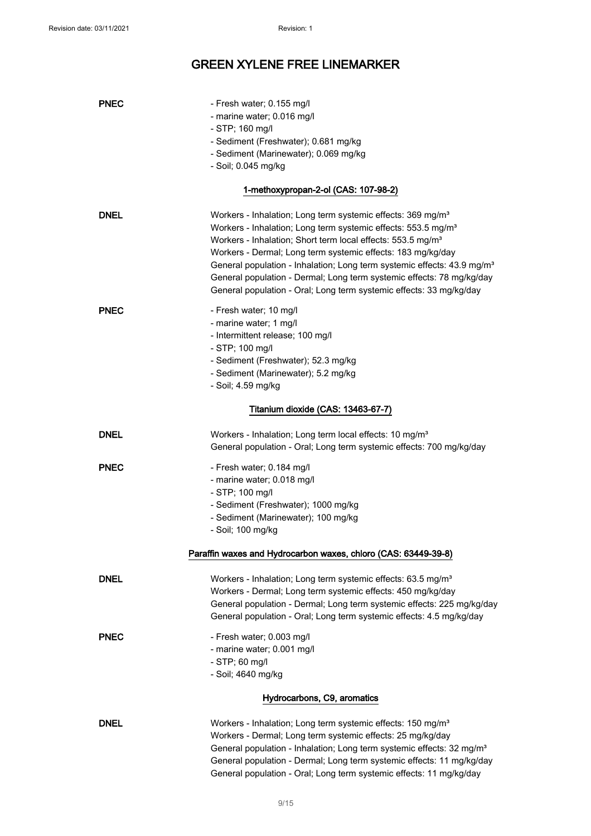| <b>PNEC</b> | - Fresh water; 0.155 mg/l<br>- marine water; 0.016 mg/l<br>- STP; 160 mg/l<br>- Sediment (Freshwater); 0.681 mg/kg<br>- Sediment (Marinewater); 0.069 mg/kg<br>- Soil; 0.045 mg/kg                                                                                                                                                                                                                                                                                                                                                    |
|-------------|---------------------------------------------------------------------------------------------------------------------------------------------------------------------------------------------------------------------------------------------------------------------------------------------------------------------------------------------------------------------------------------------------------------------------------------------------------------------------------------------------------------------------------------|
|             | 1-methoxypropan-2-ol (CAS: 107-98-2)                                                                                                                                                                                                                                                                                                                                                                                                                                                                                                  |
| <b>DNEL</b> | Workers - Inhalation; Long term systemic effects: 369 mg/m <sup>3</sup><br>Workers - Inhalation; Long term systemic effects: 553.5 mg/m <sup>3</sup><br>Workers - Inhalation; Short term local effects: 553.5 mg/m <sup>3</sup><br>Workers - Dermal; Long term systemic effects: 183 mg/kg/day<br>General population - Inhalation; Long term systemic effects: 43.9 mg/m <sup>3</sup><br>General population - Dermal; Long term systemic effects: 78 mg/kg/day<br>General population - Oral; Long term systemic effects: 33 mg/kg/day |
| <b>PNEC</b> | - Fresh water; 10 mg/l<br>- marine water; 1 mg/l<br>- Intermittent release; 100 mg/l<br>- STP; 100 mg/l<br>- Sediment (Freshwater); 52.3 mg/kg<br>- Sediment (Marinewater); 5.2 mg/kg<br>- Soil; 4.59 mg/kg                                                                                                                                                                                                                                                                                                                           |
|             | Titanium dioxide (CAS: 13463-67-7)                                                                                                                                                                                                                                                                                                                                                                                                                                                                                                    |
| <b>DNEL</b> | Workers - Inhalation; Long term local effects: 10 mg/m <sup>3</sup><br>General population - Oral; Long term systemic effects: 700 mg/kg/day                                                                                                                                                                                                                                                                                                                                                                                           |
| <b>PNEC</b> | - Fresh water; 0.184 mg/l<br>- marine water; 0.018 mg/l<br>- STP; 100 mg/l<br>- Sediment (Freshwater); 1000 mg/kg<br>- Sediment (Marinewater); 100 mg/kg<br>- Soil; 100 mg/kg                                                                                                                                                                                                                                                                                                                                                         |
|             | Paraffin waxes and Hydrocarbon waxes, chloro (CAS: 63449-39-8)                                                                                                                                                                                                                                                                                                                                                                                                                                                                        |
| DNEL        | Workers - Inhalation; Long term systemic effects: 63.5 mg/m <sup>3</sup><br>Workers - Dermal; Long term systemic effects: 450 mg/kg/day<br>General population - Dermal; Long term systemic effects: 225 mg/kg/day<br>General population - Oral; Long term systemic effects: 4.5 mg/kg/day                                                                                                                                                                                                                                             |
| PNEC        | - Fresh water; 0.003 mg/l<br>- marine water; 0.001 mg/l<br>- STP; 60 mg/l<br>- Soil; 4640 mg/kg                                                                                                                                                                                                                                                                                                                                                                                                                                       |
|             | Hydrocarbons, C9, aromatics                                                                                                                                                                                                                                                                                                                                                                                                                                                                                                           |
| <b>DNEL</b> | Workers - Inhalation; Long term systemic effects: 150 mg/m <sup>3</sup><br>Workers - Dermal; Long term systemic effects: 25 mg/kg/day<br>General population - Inhalation; Long term systemic effects: 32 mg/m <sup>3</sup><br>General population - Dermal; Long term systemic effects: 11 mg/kg/day<br>General population - Oral; Long term systemic effects: 11 mg/kg/day                                                                                                                                                            |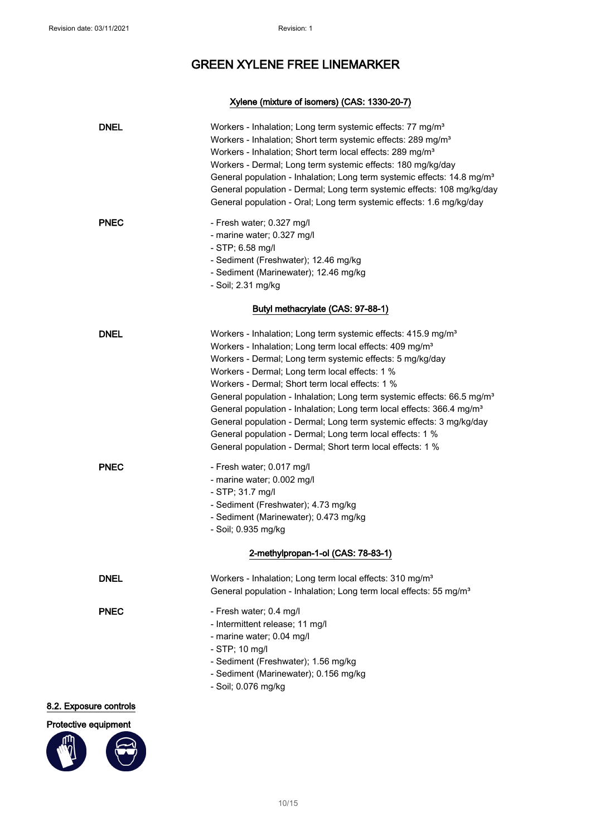### Xylene (mixture of isomers) (CAS: 1330-20-7)

| <b>DNEL</b>            | Workers - Inhalation; Long term systemic effects: 77 mg/m <sup>3</sup><br>Workers - Inhalation; Short term systemic effects: 289 mg/m <sup>3</sup><br>Workers - Inhalation; Short term local effects: 289 mg/m <sup>3</sup><br>Workers - Dermal; Long term systemic effects: 180 mg/kg/day<br>General population - Inhalation; Long term systemic effects: 14.8 mg/m <sup>3</sup><br>General population - Dermal; Long term systemic effects: 108 mg/kg/day<br>General population - Oral; Long term systemic effects: 1.6 mg/kg/day                                                                                                                                                                |
|------------------------|----------------------------------------------------------------------------------------------------------------------------------------------------------------------------------------------------------------------------------------------------------------------------------------------------------------------------------------------------------------------------------------------------------------------------------------------------------------------------------------------------------------------------------------------------------------------------------------------------------------------------------------------------------------------------------------------------|
| <b>PNEC</b>            | - Fresh water; 0.327 mg/l<br>- marine water; 0.327 mg/l<br>$-$ STP; 6.58 mg/l<br>- Sediment (Freshwater); 12.46 mg/kg<br>- Sediment (Marinewater); 12.46 mg/kg<br>- Soil; 2.31 mg/kg                                                                                                                                                                                                                                                                                                                                                                                                                                                                                                               |
|                        | Butyl methacrylate (CAS: 97-88-1)                                                                                                                                                                                                                                                                                                                                                                                                                                                                                                                                                                                                                                                                  |
| <b>DNEL</b>            | Workers - Inhalation; Long term systemic effects: 415.9 mg/m <sup>3</sup><br>Workers - Inhalation; Long term local effects: 409 mg/m <sup>3</sup><br>Workers - Dermal; Long term systemic effects: 5 mg/kg/day<br>Workers - Dermal; Long term local effects: 1 %<br>Workers - Dermal; Short term local effects: 1 %<br>General population - Inhalation; Long term systemic effects: 66.5 mg/m <sup>3</sup><br>General population - Inhalation; Long term local effects: 366.4 mg/m <sup>3</sup><br>General population - Dermal; Long term systemic effects: 3 mg/kg/day<br>General population - Dermal; Long term local effects: 1 %<br>General population - Dermal; Short term local effects: 1 % |
| <b>PNEC</b>            | - Fresh water; 0.017 mg/l<br>- marine water; 0.002 mg/l<br>$-$ STP; 31.7 mg/l<br>- Sediment (Freshwater); 4.73 mg/kg<br>- Sediment (Marinewater); 0.473 mg/kg<br>- Soil; 0.935 mg/kg                                                                                                                                                                                                                                                                                                                                                                                                                                                                                                               |
|                        | 2-methylpropan-1-ol (CAS: 78-83-1)                                                                                                                                                                                                                                                                                                                                                                                                                                                                                                                                                                                                                                                                 |
| <b>DNEL</b>            | Workers - Inhalation; Long term local effects: 310 mg/m <sup>3</sup><br>General population - Inhalation; Long term local effects: 55 mg/m <sup>3</sup>                                                                                                                                                                                                                                                                                                                                                                                                                                                                                                                                             |
| <b>PNEC</b>            | - Fresh water; 0.4 mg/l<br>- Intermittent release; 11 mg/l<br>- marine water; 0.04 mg/l<br>- STP; 10 mg/l<br>- Sediment (Freshwater); 1.56 mg/kg<br>- Sediment (Marinewater); 0.156 mg/kg<br>- Soil; 0.076 mg/kg                                                                                                                                                                                                                                                                                                                                                                                                                                                                                   |
| 8.2. Exposure controls |                                                                                                                                                                                                                                                                                                                                                                                                                                                                                                                                                                                                                                                                                                    |

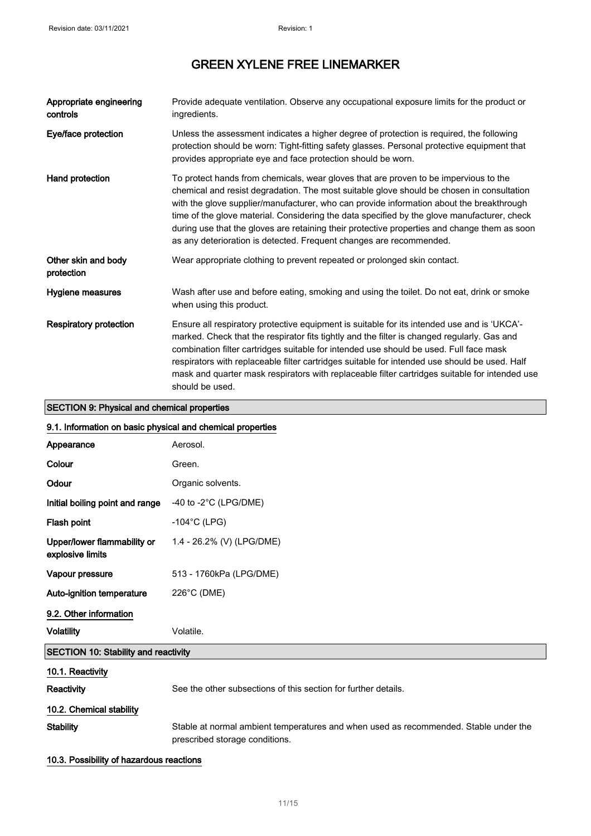| Appropriate engineering<br>controls         | Provide adequate ventilation. Observe any occupational exposure limits for the product or<br>ingredients.                                                                                                                                                                                                                                                                                                                                                                                                                                           |
|---------------------------------------------|-----------------------------------------------------------------------------------------------------------------------------------------------------------------------------------------------------------------------------------------------------------------------------------------------------------------------------------------------------------------------------------------------------------------------------------------------------------------------------------------------------------------------------------------------------|
| Eye/face protection                         | Unless the assessment indicates a higher degree of protection is required, the following<br>protection should be worn: Tight-fitting safety glasses. Personal protective equipment that<br>provides appropriate eye and face protection should be worn.                                                                                                                                                                                                                                                                                             |
| Hand protection                             | To protect hands from chemicals, wear gloves that are proven to be impervious to the<br>chemical and resist degradation. The most suitable glove should be chosen in consultation<br>with the glove supplier/manufacturer, who can provide information about the breakthrough<br>time of the glove material. Considering the data specified by the glove manufacturer, check<br>during use that the gloves are retaining their protective properties and change them as soon<br>as any deterioration is detected. Frequent changes are recommended. |
| Other skin and body<br>protection           | Wear appropriate clothing to prevent repeated or prolonged skin contact.                                                                                                                                                                                                                                                                                                                                                                                                                                                                            |
| Hygiene measures                            | Wash after use and before eating, smoking and using the toilet. Do not eat, drink or smoke<br>when using this product.                                                                                                                                                                                                                                                                                                                                                                                                                              |
| <b>Respiratory protection</b>               | Ensure all respiratory protective equipment is suitable for its intended use and is 'UKCA'-<br>marked. Check that the respirator fits tightly and the filter is changed regularly. Gas and<br>combination filter cartridges suitable for intended use should be used. Full face mask<br>respirators with replaceable filter cartridges suitable for intended use should be used. Half<br>mask and quarter mask respirators with replaceable filter cartridges suitable for intended use<br>should be used.                                          |
| SECTION 9: Physical and chemical properties |                                                                                                                                                                                                                                                                                                                                                                                                                                                                                                                                                     |

### SECTION 9: Physical and chemical properties

| 9.1. Information on basic physical and chemical properties |                                                                                                                        |  |
|------------------------------------------------------------|------------------------------------------------------------------------------------------------------------------------|--|
| Appearance                                                 | Aerosol.                                                                                                               |  |
| Colour                                                     | Green.                                                                                                                 |  |
| Odour                                                      | Organic solvents.                                                                                                      |  |
| Initial boiling point and range                            | -40 to -2 $^{\circ}$ C (LPG/DME)                                                                                       |  |
| Flash point                                                | $-104$ °C (LPG)                                                                                                        |  |
| Upper/lower flammability or<br>explosive limits            | 1.4 - 26.2% (V) (LPG/DME)                                                                                              |  |
| Vapour pressure                                            | 513 - 1760kPa (LPG/DME)                                                                                                |  |
| Auto-ignition temperature                                  | 226°C (DME)                                                                                                            |  |
| 9.2. Other information                                     |                                                                                                                        |  |
| <b>Volatility</b>                                          | Volatile.                                                                                                              |  |
| SECTION 10: Stability and reactivity                       |                                                                                                                        |  |
| 10.1. Reactivity                                           |                                                                                                                        |  |
| Reactivity                                                 | See the other subsections of this section for further details.                                                         |  |
| 10.2. Chemical stability                                   |                                                                                                                        |  |
| <b>Stability</b>                                           | Stable at normal ambient temperatures and when used as recommended. Stable under the<br>prescribed storage conditions. |  |

### 10.3. Possibility of hazardous reactions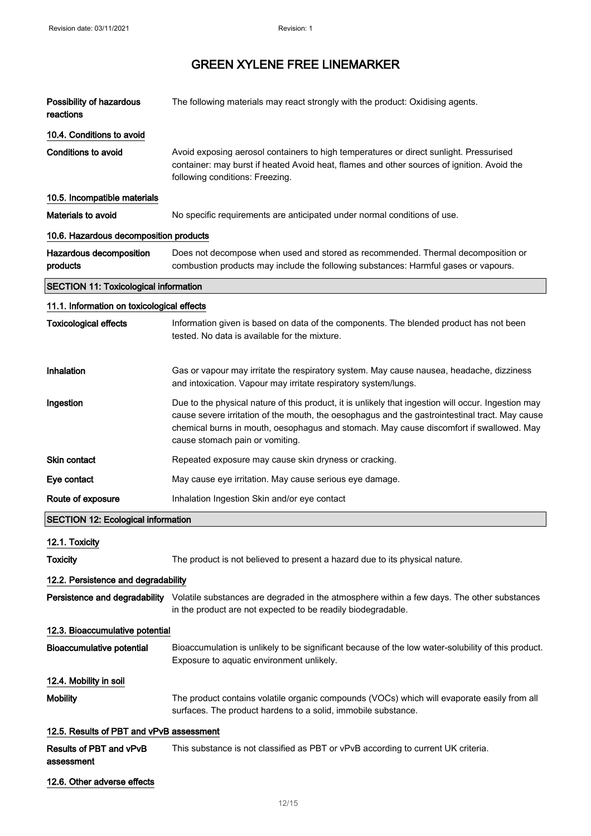| Possibility of hazardous<br>reactions        | The following materials may react strongly with the product: Oxidising agents.                                                                                                                                                                                                                                                      |  |
|----------------------------------------------|-------------------------------------------------------------------------------------------------------------------------------------------------------------------------------------------------------------------------------------------------------------------------------------------------------------------------------------|--|
| 10.4. Conditions to avoid                    |                                                                                                                                                                                                                                                                                                                                     |  |
| <b>Conditions to avoid</b>                   | Avoid exposing aerosol containers to high temperatures or direct sunlight. Pressurised<br>container: may burst if heated Avoid heat, flames and other sources of ignition. Avoid the<br>following conditions: Freezing.                                                                                                             |  |
| 10.5. Incompatible materials                 |                                                                                                                                                                                                                                                                                                                                     |  |
| Materials to avoid                           | No specific requirements are anticipated under normal conditions of use.                                                                                                                                                                                                                                                            |  |
| 10.6. Hazardous decomposition products       |                                                                                                                                                                                                                                                                                                                                     |  |
| Hazardous decomposition<br>products          | Does not decompose when used and stored as recommended. Thermal decomposition or<br>combustion products may include the following substances: Harmful gases or vapours.                                                                                                                                                             |  |
| <b>SECTION 11: Toxicological information</b> |                                                                                                                                                                                                                                                                                                                                     |  |
| 11.1. Information on toxicological effects   |                                                                                                                                                                                                                                                                                                                                     |  |
| <b>Toxicological effects</b>                 | Information given is based on data of the components. The blended product has not been<br>tested. No data is available for the mixture.                                                                                                                                                                                             |  |
| Inhalation                                   | Gas or vapour may irritate the respiratory system. May cause nausea, headache, dizziness<br>and intoxication. Vapour may irritate respiratory system/lungs.                                                                                                                                                                         |  |
| Ingestion                                    | Due to the physical nature of this product, it is unlikely that ingestion will occur. Ingestion may<br>cause severe irritation of the mouth, the oesophagus and the gastrointestinal tract. May cause<br>chemical burns in mouth, oesophagus and stomach. May cause discomfort if swallowed. May<br>cause stomach pain or vomiting. |  |
| <b>Skin contact</b>                          | Repeated exposure may cause skin dryness or cracking.                                                                                                                                                                                                                                                                               |  |
| Eye contact                                  | May cause eye irritation. May cause serious eye damage.                                                                                                                                                                                                                                                                             |  |
| Route of exposure                            | Inhalation Ingestion Skin and/or eye contact                                                                                                                                                                                                                                                                                        |  |
| <b>SECTION 12: Ecological information</b>    |                                                                                                                                                                                                                                                                                                                                     |  |
| 12.1. Toxicity                               |                                                                                                                                                                                                                                                                                                                                     |  |
| <b>Toxicity</b>                              | The product is not believed to present a hazard due to its physical nature.                                                                                                                                                                                                                                                         |  |
| 12.2. Persistence and degradability          |                                                                                                                                                                                                                                                                                                                                     |  |
|                                              | Persistence and degradability Volatile substances are degraded in the atmosphere within a few days. The other substances<br>in the product are not expected to be readily biodegradable.                                                                                                                                            |  |
| 12.3. Bioaccumulative potential              |                                                                                                                                                                                                                                                                                                                                     |  |
| <b>Bioaccumulative potential</b>             | Bioaccumulation is unlikely to be significant because of the low water-solubility of this product.<br>Exposure to aquatic environment unlikely.                                                                                                                                                                                     |  |
| 12.4. Mobility in soil                       |                                                                                                                                                                                                                                                                                                                                     |  |
| <b>Mobility</b>                              | The product contains volatile organic compounds (VOCs) which will evaporate easily from all<br>surfaces. The product hardens to a solid, immobile substance.                                                                                                                                                                        |  |
| 12.5. Results of PBT and vPvB assessment     |                                                                                                                                                                                                                                                                                                                                     |  |
| Results of PBT and vPvB<br>assessment        | This substance is not classified as PBT or vPvB according to current UK criteria.                                                                                                                                                                                                                                                   |  |
| 12.6. Other adverse effects                  |                                                                                                                                                                                                                                                                                                                                     |  |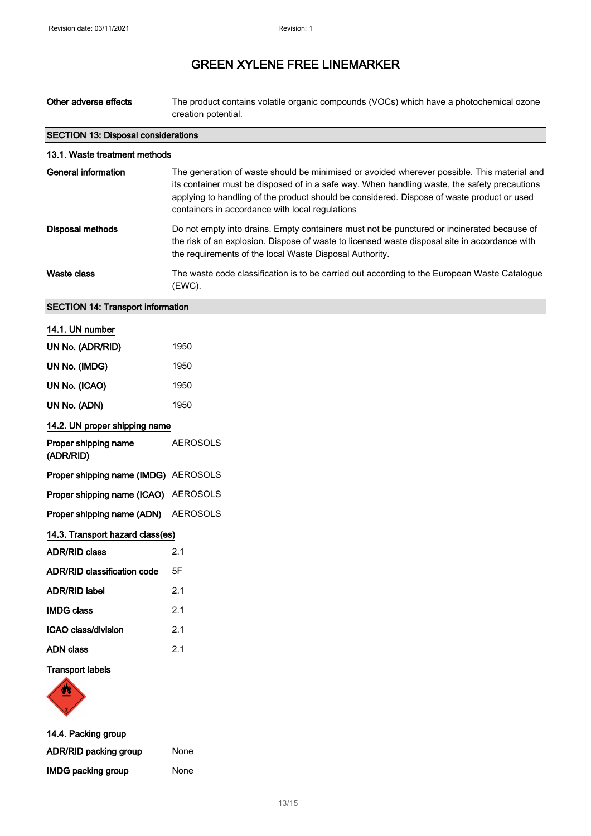| Other adverse effects | The product contains volatile organic compounds (VOCs) which have a photochemical ozone |
|-----------------------|-----------------------------------------------------------------------------------------|
|                       | creation potential.                                                                     |

┑

| <b>SECTION 13: Disposal considerations</b> |                                                                                                                                                                                                                                                                                                                                              |  |
|--------------------------------------------|----------------------------------------------------------------------------------------------------------------------------------------------------------------------------------------------------------------------------------------------------------------------------------------------------------------------------------------------|--|
| 13.1. Waste treatment methods              |                                                                                                                                                                                                                                                                                                                                              |  |
| General information                        | The generation of waste should be minimised or avoided wherever possible. This material and<br>its container must be disposed of in a safe way. When handling waste, the safety precautions<br>applying to handling of the product should be considered. Dispose of waste product or used<br>containers in accordance with local regulations |  |
| <b>Disposal methods</b>                    | Do not empty into drains. Empty containers must not be punctured or incinerated because of<br>the risk of an explosion. Dispose of waste to licensed waste disposal site in accordance with<br>the requirements of the local Waste Disposal Authority.                                                                                       |  |
| Waste class                                | The waste code classification is to be carried out according to the European Waste Catalogue<br>(EWC).                                                                                                                                                                                                                                       |  |

### SECTION 14: Transport information

| 14.1. UN number                      |                 |
|--------------------------------------|-----------------|
| UN No. (ADR/RID)                     | 1950            |
| UN No. (IMDG)                        | 1950            |
| UN No. (ICAO)                        | 1950            |
| UN No. (ADN)                         | 1950            |
| 14.2. UN proper shipping name        |                 |
| Proper shipping name<br>(ADR/RID)    | <b>AEROSOLS</b> |
| Proper shipping name (IMDG) AEROSOLS |                 |
| Proper shipping name (ICAO) AEROSOLS |                 |
| Proper shipping name (ADN) AEROSOLS  |                 |
| 14.3. Transport hazard class(es)     |                 |
| <b>ADR/RID class</b>                 | 2.1             |
| <b>ADR/RID classification code</b>   | 5F              |
| <b>ADR/RID label</b>                 | 2.1             |
| <b>IMDG class</b>                    | 2.1             |
| ICAO class/division                  | 2.1             |
| <b>ADN class</b>                     | 2.1             |
|                                      |                 |

### Transport labels



| 14.4. Packing group       |      |
|---------------------------|------|
| ADR/RID packing group     | None |
| <b>IMDG packing group</b> | None |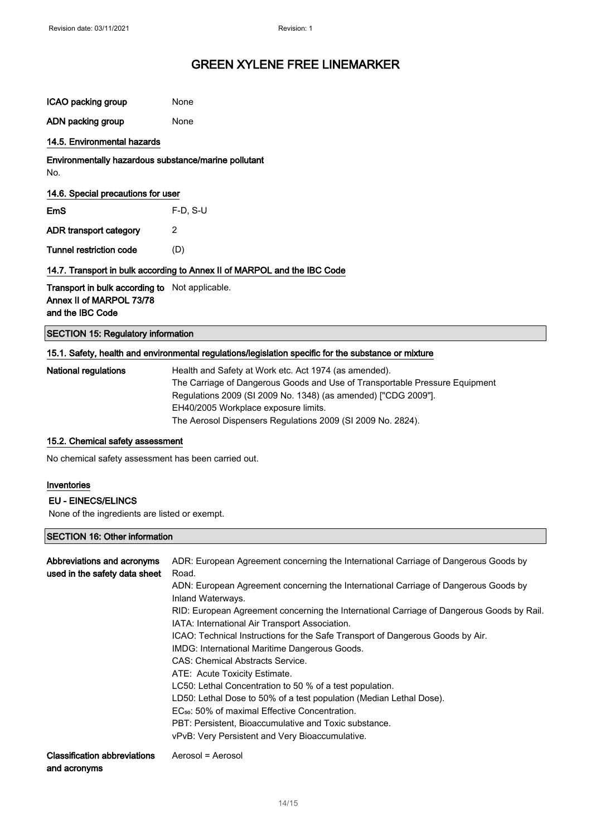| None                                                                     |  |  |
|--------------------------------------------------------------------------|--|--|
| None                                                                     |  |  |
|                                                                          |  |  |
| Environmentally hazardous substance/marine pollutant                     |  |  |
| 14.6. Special precautions for user                                       |  |  |
| $F-D$ , S-U                                                              |  |  |
| 2                                                                        |  |  |
| (D)                                                                      |  |  |
| 14.7. Transport in bulk according to Annex II of MARPOL and the IBC Code |  |  |
| <b>Transport in bulk according to</b> Not applicable.                    |  |  |
|                                                                          |  |  |

### SECTION 15: Regulatory information

| National regulations | Health and Safety at Work etc. Act 1974 (as amended).                       |
|----------------------|-----------------------------------------------------------------------------|
|                      | The Carriage of Dangerous Goods and Use of Transportable Pressure Equipment |
|                      | Regulations 2009 (SI 2009 No. 1348) (as amended) ["CDG 2009"].              |
|                      | EH40/2005 Workplace exposure limits.                                        |
|                      | The Aerosol Dispensers Regulations 2009 (SI 2009 No. 2824).                 |
|                      |                                                                             |

### 15.2. Chemical safety assessment

No chemical safety assessment has been carried out.

#### Inventories

#### EU - EINECS/ELINCS

None of the ingredients are listed or exempt.

#### SECTION 16: Other information

| Abbreviations and acronyms<br>used in the safety data sheet | ADR: European Agreement concerning the International Carriage of Dangerous Goods by<br>Road.                                                |
|-------------------------------------------------------------|---------------------------------------------------------------------------------------------------------------------------------------------|
|                                                             | ADN: European Agreement concerning the International Carriage of Dangerous Goods by<br>Inland Waterways.                                    |
|                                                             | RID: European Agreement concerning the International Carriage of Dangerous Goods by Rail.<br>IATA: International Air Transport Association. |
|                                                             | ICAO: Technical Instructions for the Safe Transport of Dangerous Goods by Air.                                                              |
|                                                             | IMDG: International Maritime Dangerous Goods.                                                                                               |
|                                                             | CAS: Chemical Abstracts Service.                                                                                                            |
|                                                             | ATE: Acute Toxicity Estimate.                                                                                                               |
|                                                             | LC50: Lethal Concentration to 50 % of a test population.                                                                                    |
|                                                             | LD50: Lethal Dose to 50% of a test population (Median Lethal Dose).                                                                         |
|                                                             | EC <sub>50</sub> : 50% of maximal Effective Concentration.                                                                                  |
|                                                             | PBT: Persistent. Bioaccumulative and Toxic substance.                                                                                       |
|                                                             | vPvB: Very Persistent and Very Bioaccumulative.                                                                                             |
| <b>Classification abbreviations</b><br>and acronyms         | Aerosol = Aerosol                                                                                                                           |